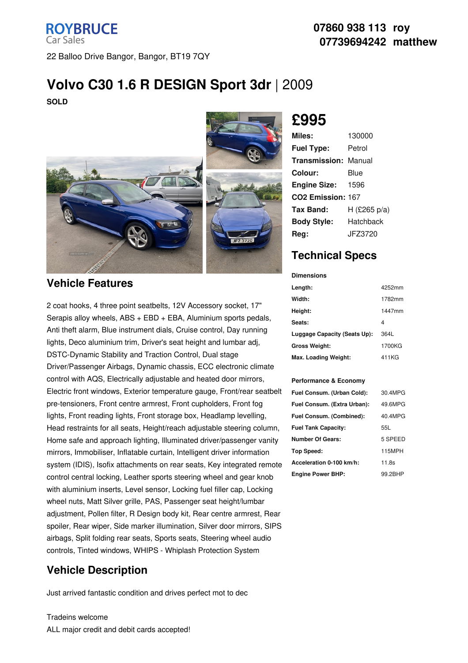### **ROYBRUCE Car Sales** 22 Balloo Drive Bangor, Bangor, BT19 7QY

#### **07860 938 113 roy 07739694242 matthew**

# **Volvo C30 1.6 R DESIGN Sport 3dr** |2009

**SOLD**



### **Vehicle Features**

2 coat hooks, 4 three point seatbelts, 12V Accessory socket, 17" Serapis alloy wheels, ABS + EBD + EBA, Aluminium sports pedals, Anti theft alarm, Blue instrument dials, Cruise control, Day running lights, Deco aluminium trim, Driver's seat height and lumbar adj, DSTC-Dynamic Stability and Traction Control, Dual stage Driver/Passenger Airbags, Dynamic chassis, ECC electronic climate control with AQS, Electrically adjustable and heated door mirrors, Electric front windows, Exterior temperature gauge, Front/rear seatbelt pre-tensioners, Front centre armrest, Front cupholders, Front fog lights, Front reading lights, Front storage box, Headlamp levelling, Head restraints for all seats, Height/reach adjustable steering column, Home safe and approach lighting, Illuminated driver/passenger vanity mirrors, Immobiliser, Inflatable curtain, Intelligent driver information system (IDIS), Isofix attachments on rear seats, Key integrated remote control central locking, Leather sports steering wheel and gear knob with aluminium inserts, Level sensor, Locking fuel filler cap, Locking wheel nuts, Matt Silver grille, PAS, Passenger seat height/lumbar adjustment, Pollen filter, R Design body kit, Rear centre armrest, Rear spoiler, Rear wiper, Side marker illumination, Silver door mirrors, SIPS airbags, Split folding rear seats, Sports seats, Steering wheel audio controls, Tinted windows, WHIPS - Whiplash Protection System

## **Vehicle Description**

Just arrived fantastic condition and drives perfect mot to dec

#### Tradeins welcome ALL major credit and debit cards accepted!



# **£995**

| Miles:                        | 130000       |
|-------------------------------|--------------|
| <b>Fuel Type:</b>             | Petrol       |
| Transmission:                 | Manual       |
| Colour:                       | Blue         |
| <b>Engine Size:</b>           | 1596         |
| CO <sub>2</sub> Emission: 167 |              |
| Tax Band:                     | H (£265 p/a) |
| <b>Body Style:</b>            | Hatchback    |
| Rea:                          | JFZ3720      |

## **Technical Specs**

#### **Dimensions**

| Length:                      | 4252mm |
|------------------------------|--------|
| Width:                       | 1782mm |
| Height:                      | 1447mm |
| Seats:                       | 4      |
| Luggage Capacity (Seats Up): | 364L   |
| <b>Gross Weight:</b>         | 1700KG |
| Max. Loading Weight:         | 411KG  |

#### **Performance & Economy**

| Fuel Consum. (Urban Cold):  | 30.4MPG |
|-----------------------------|---------|
| Fuel Consum. (Extra Urban): | 49.6MPG |
| Fuel Consum. (Combined):    | 40.4MPG |
| <b>Fuel Tank Capacity:</b>  | 55L     |
| <b>Number Of Gears:</b>     | 5 SPEED |
| <b>Top Speed:</b>           | 115MPH  |
| Acceleration 0-100 km/h:    | 11.8s   |
| <b>Engine Power BHP:</b>    | 99.2BHP |